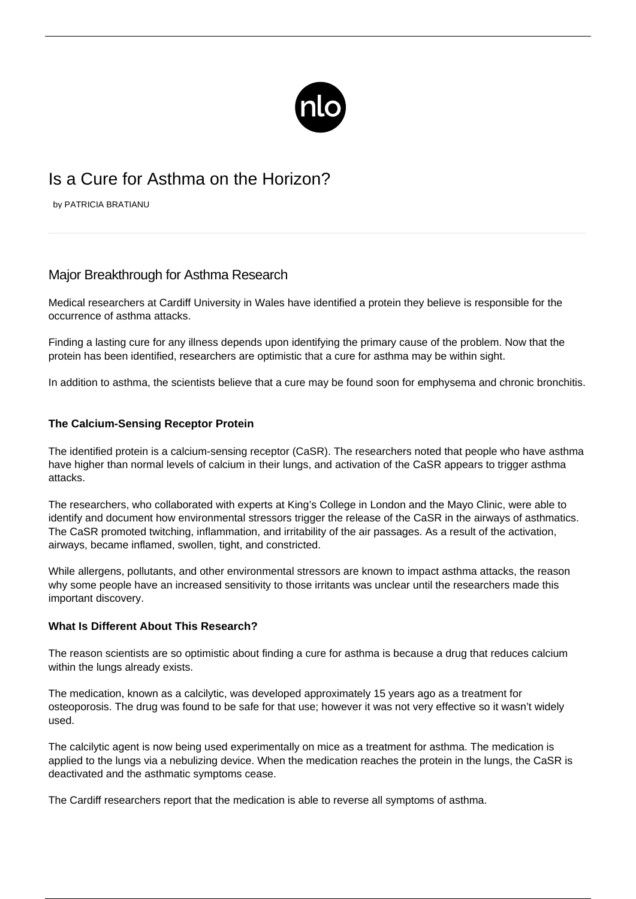

# Is a Cure for Asthma on the Horizon?

by PATRICIA BRATIANU

# Major Breakthrough for Asthma Research

Medical researchers at Cardiff University in Wales have identified a protein they believe is responsible for the occurrence of asthma attacks.

Finding a lasting cure for any illness depends upon identifying the primary cause of the problem. Now that the protein has been identified, researchers are optimistic that a cure for asthma may be within sight.

In addition to asthma, the scientists believe that a cure may be found soon for emphysema and chronic bronchitis.

## **The Calcium-Sensing Receptor Protein**

The identified protein is a calcium-sensing receptor (CaSR). The researchers noted that people who have asthma have higher than normal levels of calcium in their lungs, and activation of the CaSR appears to [trigger asthma](/asthma-triggers/) [attacks](/asthma-triggers/).

The researchers, who collaborated with experts at King's College in London and the Mayo Clinic, were able to identify and document how environmental stressors trigger the release of the CaSR in the airways of asthmatics. The CaSR promoted twitching, inflammation, and irritability of the air passages. As a result of the activation, airways, became inflamed, swollen, tight, and constricted.

While allergens, pollutants, and other environmental stressors are known to impact asthma attacks, the reason why some people have an increased sensitivity to those irritants was unclear until the researchers made this important discovery.

#### **What Is Different About This Research?**

The reason scientists are so optimistic about finding a cure for asthma is because a drug that reduces calcium within the lungs already exists.

The medication, known as a calcilytic, was developed approximately 15 years ago as a treatment for osteoporosis. The drug was found to be safe for that use; however it was not very effective so it wasn't widely used.

The calcilytic agent is now being used experimentally on mice as a treatment for asthma. The medication is applied to the lungs via a nebulizing device. When the medication reaches the protein in the lungs, the CaSR is deactivated and the asthmatic symptoms cease.

The Cardiff researchers report that the medication is able to reverse all symptoms of asthma.